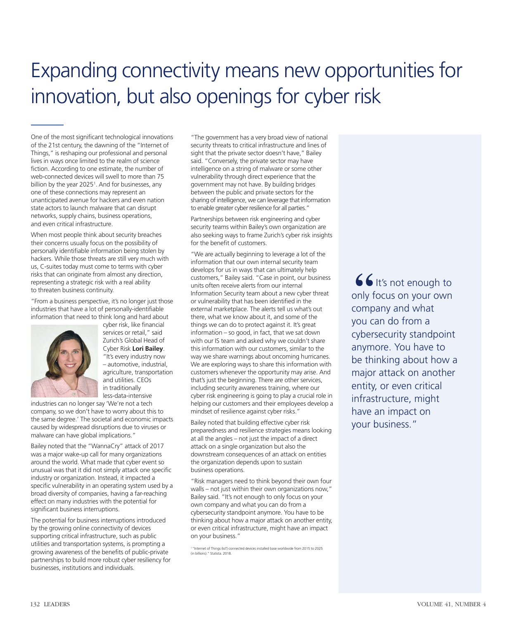# Expanding connectivity means new opportunities for innovation, but also openings for cyber risk

One of the most significant technological innovations of the 21st century, the dawning of the "Internet of Things," is reshaping our professional and personal lives in ways once limited to the realm of science fiction. According to one estimate, the number of web-connected devices will swell to more than 75 billion by the year 2025<sup>1</sup>. And for businesses, any one of these connections may represent an unanticipated avenue for hackers and even nation state actors to launch malware that can disrupt networks, supply chains, business operations, and even critical infrastructure.

When most people think about security breaches their concerns usually focus on the possibility of personally identifiable information being stolen by hackers. While those threats are still very much with us, C-suites today must come to terms with cyber risks that can originate from almost any direction, representing a strategic risk with a real ability to threaten business continuity.

"From a business perspective, it's no longer just those industries that have a lot of personally-identifiable information that need to think long and hard about



cyber risk, like financial services or retail," said Zurich's Global Head of Cyber Risk **Lori Bailey**. "It's every industry now – automotive, industrial, agriculture, transportation and utilities. CEOs in traditionally less-data-intensive

industries can no longer say 'We're not a tech company, so we don't have to worry about this to the same degree.' The societal and economic impacts caused by widespread disruptions due to viruses or malware can have global implications."

Bailey noted that the "WannaCry" attack of 2017 was a major wake-up call for many organizations around the world. What made that cyber event so unusual was that it did not simply attack one specific industry or organization. Instead, it impacted a specific vulnerability in an operating system used by a broad diversity of companies, having a far-reaching effect on many industries with the potential for significant business interruptions.

The potential for business interruptions introduced by the growing online connectivity of devices supporting critical infrastructure, such as public utilities and transportation systems, is prompting a growing awareness of the benefits of public-private partnerships to build more robust cyber resiliency for businesses, institutions and individuals.

"The government has a very broad view of national security threats to critical infrastructure and lines of sight that the private sector doesn't have," Bailey said. "Conversely, the private sector may have intelligence on a string of malware or some other vulnerability through direct experience that the government may not have. By building bridges between the public and private sectors for the sharing of intelligence, we can leverage that information to enable greater cyber resilience for all parties."

Partnerships between risk engineering and cyber security teams within Bailey's own organization are also seeking ways to frame Zurich's cyber risk insights for the benefit of customers.

"We are actually beginning to leverage a lot of the information that our own internal security team develops for us in ways that can ultimately help customers," Bailey said. "Case in point, our business units often receive alerts from our internal Information Security team about a new cyber threat or vulnerability that has been identified in the external marketplace. The alerts tell us what's out there, what we know about it, and some of the things we can do to protect against it. It's great information – so good, in fact, that we sat down with our IS team and asked why we couldn't share this information with our customers, similar to the way we share warnings about oncoming hurricanes. We are exploring ways to share this information with customers whenever the opportunity may arise. And that's just the beginning. There are other services, including security awareness training, where our cyber risk engineering is going to play a crucial role in helping our customers and their employees develop a mindset of resilience against cyber risks."

Bailey noted that building effective cyber risk preparedness and resilience strategies means looking at all the angles – not just the impact of a direct attack on a single organization but also the downstream consequences of an attack on entities the organization depends upon to sustain business operations.

"Risk managers need to think beyond their own four walls – not just within their own organizations now," Bailey said. "It's not enough to only focus on your own company and what you can do from a cybersecurity standpoint anymore. You have to be thinking about how a major attack on another entity, or even critical infrastructure, might have an impact on your business."

 $66$  It's not enough to only focus on your own company and what you can do from a cybersecurity standpoint anymore. You have to be thinking about how a major attack on another entity, or even critical infrastructure, might have an impact on your business."

<sup>1 &</sup>quot;Internet of Things (IoT) connected devices installed base worldwide from 2015 to 2025 (in billions)." Statista. 2018.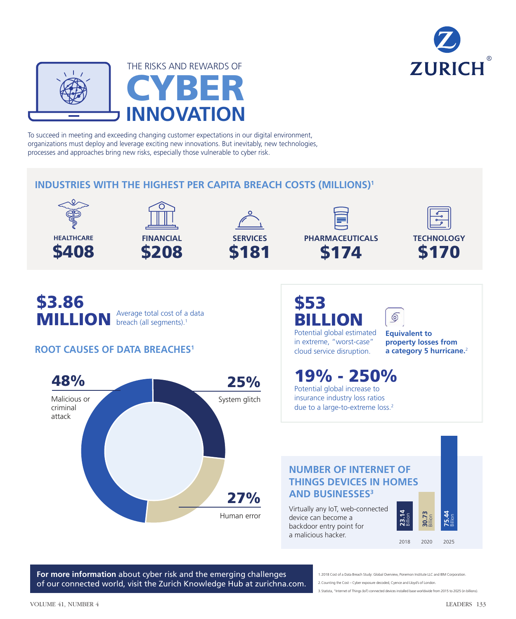



To succeed in meeting and exceeding changing customer expectations in our digital environment, organizations must deploy and leverage exciting new innovations. But inevitably, new technologies, processes and approaches bring new risks, especially those vulnerable to cyber risk.

### **INDUSTRIES WITH THE HIGHEST PER CAPITA BREACH COSTS (MILLIONS)1**





**SERVICES** \$181





\$3.86 MILLION Average total cost of a data breach (all segments).<sup>1</sup>

## **ROOT CAUSES OF DATA BREACHES1**



## \$53 BILLION

Potential global estimated in extreme, "worst-case" cloud service disruption.

**Equivalent to property losses from a category 5 hurricane.**<sup>2</sup>

 $\circledcirc$ 

**21.14**<br> **2018 2020 2025**<br> **2018 2020 2025** 

19% - 250% Potential global increase to insurance industry loss ratios due to a large-to-extreme loss.<sup>2</sup>

### **NUMBER OF INTERNET OF THINGS DEVICES IN HOMES AND BUSINESSES3**

Virtually any IoT, web-connected device can become a backdoor entry point for a malicious hacker.

**For more information** about cyber risk and the emerging challenges of our connected world, visit the Zurich Knowledge Hub at zurichna.com.

1.2018 Cost of a Data Breach Study: Global Overview, Ponemon Institute LLC and IBM Corporation. 2.Counting the Cost – Cyber exposure decoded, Cyence and Lloyd's of London.

3.Statista, "Internet of Things (IoT) connected devices installed base worldwide from 2015 to 2025 (in billions).